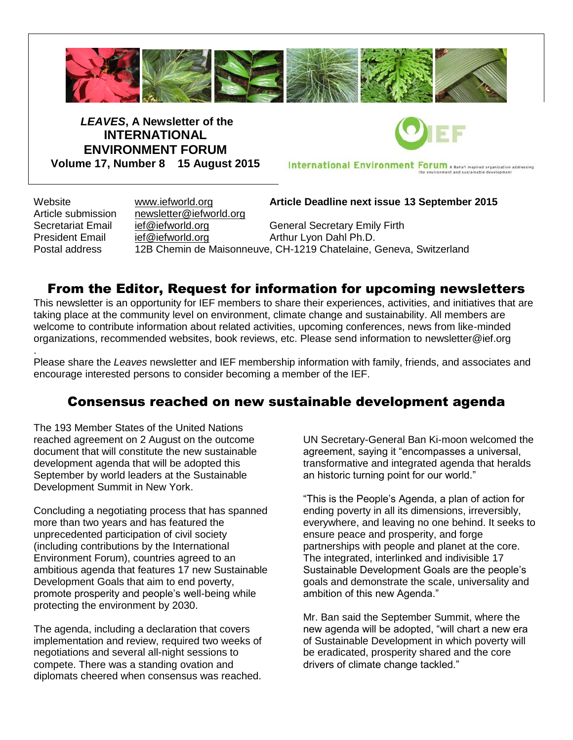

*LEAVES***, A Newsletter of the INTERNATIONAL ENVIRONMENT FORUM Volume 17, Number 8 15 August 2015**

International Environment Forum A Baha'i inspired organization addressing

.

Article submission [newsletter@iefworld.org](mailto:newsletter@iefworld.org)

Website [www.iefworld.org](http://www.iefworld.org/) **Article Deadline next issue 13 September 2015**

Secretariat Email [ief@iefworld.org](mailto:ief@iefworld.org) General Secretary Emily Firth President Email [ief@iefworld.org](mailto:ief@iefworld.org) in Arthur Lyon Dahl Ph.D. Postal address 12B Chemin de Maisonneuve, CH-1219 Chatelaine, Geneva, Switzerland

# From the Editor, Request for information for upcoming newsletters

This newsletter is an opportunity for IEF members to share their experiences, activities, and initiatives that are taking place at the community level on environment, climate change and sustainability. All members are welcome to contribute information about related activities, upcoming conferences, news from like-minded organizations, recommended websites, book reviews, etc. Please send information to [newsletter@ief.org](mailto:newsletter@ief.org)

Please share the *Leaves* newsletter and IEF membership information with family, friends, and associates and encourage interested persons to consider becoming a member of the IEF.

# Consensus reached on new sustainable development agenda

The 193 Member States of the United Nations reached agreement on 2 August on the outcome document that will constitute the new sustainable development agenda that will be adopted this September by world leaders at the Sustainable Development Summit in New York.

Concluding a negotiating process that has spanned more than two years and has featured the unprecedented participation of civil society (including contributions by the International Environment Forum), countries agreed to an ambitious agenda that features 17 new Sustainable Development Goals that aim to end poverty, promote prosperity and people's well-being while protecting the environment by 2030.

The agenda, including a declaration that covers implementation and review, required two weeks of negotiations and several all-night sessions to compete. There was a standing ovation and diplomats cheered when consensus was reached. UN Secretary-General Ban Ki-moon welcomed the agreement, saying it "encompasses a universal, transformative and integrated agenda that heralds an historic turning point for our world."

"This is the People's Agenda, a plan of action for ending poverty in all its dimensions, irreversibly, everywhere, and leaving no one behind. It seeks to ensure peace and prosperity, and forge partnerships with people and planet at the core. The integrated, interlinked and indivisible 17 Sustainable Development Goals are the people's goals and demonstrate the scale, universality and ambition of this new Agenda."

Mr. Ban said the September Summit, where the new agenda will be adopted, "will chart a new era of Sustainable Development in which poverty will be eradicated, prosperity shared and the core drivers of climate change tackled."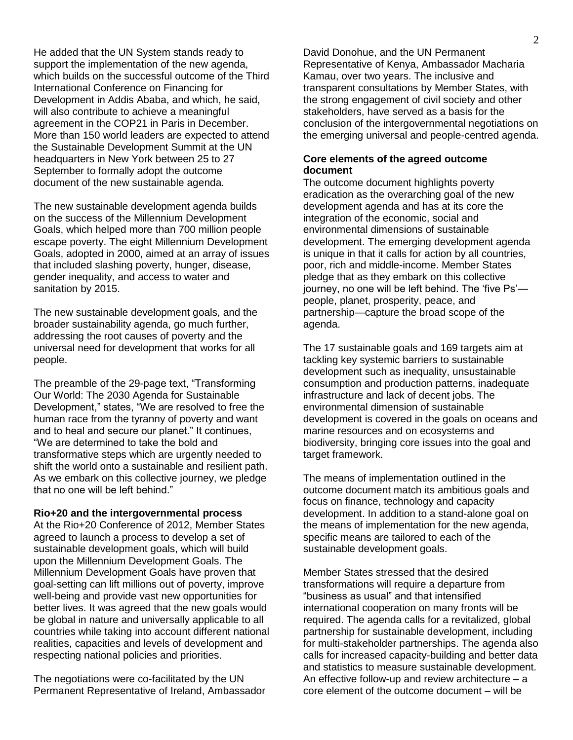He added that the UN System stands ready to support the implementation of the new agenda, which builds on the successful outcome of the Third International Conference on Financing for Development in Addis Ababa, and which, he said, will also contribute to achieve a meaningful agreement in the COP21 in Paris in December. More than 150 world leaders are expected to attend the Sustainable Development Summit at the UN headquarters in New York between 25 to 27 September to formally adopt the outcome document of the new sustainable agenda.

The new sustainable development agenda builds on the success of the Millennium Development Goals, which helped more than 700 million people escape poverty. The eight Millennium Development Goals, adopted in 2000, aimed at an array of issues that included slashing poverty, hunger, disease, gender inequality, and access to water and sanitation by 2015.

The new sustainable development goals, and the broader sustainability agenda, go much further, addressing the root causes of poverty and the universal need for development that works for all people.

The preamble of the 29-page text, "Transforming Our World: The 2030 Agenda for Sustainable Development," states, "We are resolved to free the human race from the tyranny of poverty and want and to heal and secure our planet." It continues, "We are determined to take the bold and transformative steps which are urgently needed to shift the world onto a sustainable and resilient path. As we embark on this collective journey, we pledge that no one will be left behind."

**Rio+20 and the intergovernmental process**

At the Rio+20 Conference of 2012, Member States agreed to launch a process to develop a set of sustainable development goals, which will build upon the Millennium Development Goals. The Millennium Development Goals have proven that goal-setting can lift millions out of poverty, improve well-being and provide vast new opportunities for better lives. It was agreed that the new goals would be global in nature and universally applicable to all countries while taking into account different national realities, capacities and levels of development and respecting national policies and priorities.

The negotiations were co-facilitated by the UN Permanent Representative of Ireland, Ambassador David Donohue, and the UN Permanent Representative of Kenya, Ambassador Macharia Kamau, over two years. The inclusive and transparent consultations by Member States, with the strong engagement of civil society and other stakeholders, have served as a basis for the conclusion of the intergovernmental negotiations on the emerging universal and people-centred agenda.

#### **Core elements of the agreed outcome document**

The outcome document highlights poverty eradication as the overarching goal of the new development agenda and has at its core the integration of the economic, social and environmental dimensions of sustainable development. The emerging development agenda is unique in that it calls for action by all countries, poor, rich and middle-income. Member States pledge that as they embark on this collective journey, no one will be left behind. The 'five Ps' people, planet, prosperity, peace, and partnership—capture the broad scope of the agenda.

The 17 sustainable goals and 169 targets aim at tackling key systemic barriers to sustainable development such as inequality, unsustainable consumption and production patterns, inadequate infrastructure and lack of decent jobs. The environmental dimension of sustainable development is covered in the goals on oceans and marine resources and on ecosystems and biodiversity, bringing core issues into the goal and target framework.

The means of implementation outlined in the outcome document match its ambitious goals and focus on finance, technology and capacity development. In addition to a stand-alone goal on the means of implementation for the new agenda, specific means are tailored to each of the sustainable development goals.

Member States stressed that the desired transformations will require a departure from "business as usual" and that intensified international cooperation on many fronts will be required. The agenda calls for a revitalized, global partnership for sustainable development, including for multi-stakeholder partnerships. The agenda also calls for increased capacity-building and better data and statistics to measure sustainable development. An effective follow-up and review architecture – a core element of the outcome document – will be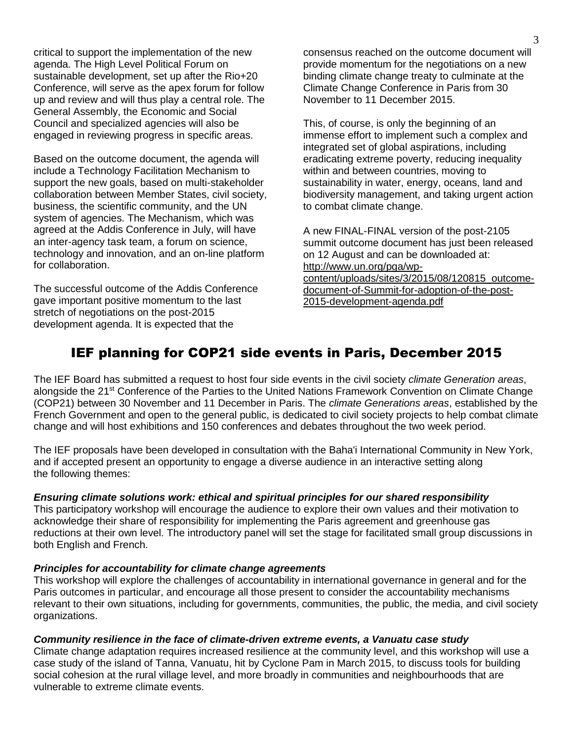critical to support the implementation of the new agenda. The High Level Political Forum on sustainable development, set up after the Rio+20 Conference, will serve as the apex forum for follow up and review and will thus play a central role. The General Assembly, the Economic and Social Council and specialized agencies will also be engaged in reviewing progress in specific areas.

Based on the outcome document, the agenda will include a Technology Facilitation Mechanism to support the new goals, based on multi-stakeholder collaboration between Member States, civil society, business, the scientific community, and the UN system of agencies. The Mechanism, which was agreed at the Addis Conference in July, will have an inter-agency task team, a forum on science, technology and innovation, and an on-line platform for collaboration.

The successful outcome of the Addis Conference gave important positive momentum to the last stretch of negotiations on the post-2015 development agenda. It is expected that the

consensus reached on the outcome document will provide momentum for the negotiations on a new binding climate change treaty to culminate at the Climate Change Conference in Paris from 30 November to 11 December 2015.

This, of course, is only the beginning of an immense effort to implement such a complex and integrated set of global aspirations, including eradicating extreme poverty, reducing inequality within and between countries, moving to sustainability in water, energy, oceans, land and biodiversity management, and taking urgent action to combat climate change.

A new FINAL-FINAL version of the post-2105 summit outcome document has just been released on 12 August and can be downloaded at: [http://www.un.org/pga/wp](http://www.un.org/pga/wp-content/uploads/sites/3/2015/08/120815_outcome-document-of-Summit-for-adoption-of-the-post-2015-development-agenda.pdf)[content/uploads/sites/3/2015/08/120815\\_outcome](http://www.un.org/pga/wp-content/uploads/sites/3/2015/08/120815_outcome-document-of-Summit-for-adoption-of-the-post-2015-development-agenda.pdf)[document-of-Summit-for-adoption-of-the-post-](http://www.un.org/pga/wp-content/uploads/sites/3/2015/08/120815_outcome-document-of-Summit-for-adoption-of-the-post-2015-development-agenda.pdf)[2015-development-agenda.pdf](http://www.un.org/pga/wp-content/uploads/sites/3/2015/08/120815_outcome-document-of-Summit-for-adoption-of-the-post-2015-development-agenda.pdf)

# IEF planning for COP21 side events in Paris, December 2015

The IEF Board has submitted a request to host four side events in the civil society *climate Generation areas*, alongside the 21<sup>st</sup> Conference of the Parties to the United Nations Framework Convention on Climate Change (COP21) between 30 November and 11 December in Paris. The *climate Generations areas*, established by the French Government and open to the general public, is dedicated to civil society projects to help combat climate change and will host exhibitions and 150 conferences and debates throughout the two week period.

The IEF proposals have been developed in consultation with the Baha'i International Community in New York, and if accepted present an opportunity to engage a diverse audience in an interactive setting along the following themes:

## *Ensuring climate solutions work: ethical and spiritual principles for our shared responsibility*

This participatory workshop will encourage the audience to explore their own values and their motivation to acknowledge their share of responsibility for implementing the Paris agreement and greenhouse gas reductions at their own level. The introductory panel will set the stage for facilitated small group discussions in both English and French.

#### *Principles for accountability for climate change agreements*

This workshop will explore the challenges of accountability in international governance in general and for the Paris outcomes in particular, and encourage all those present to consider the accountability mechanisms relevant to their own situations, including for governments, communities, the public, the media, and civil society organizations.

#### *Community resilience in the face of climate-driven extreme events, a Vanuatu case study*

Climate change adaptation requires increased resilience at the community level, and this workshop will use a case study of the island of Tanna, Vanuatu, hit by Cyclone Pam in March 2015, to discuss tools for building social cohesion at the rural village level, and more broadly in communities and neighbourhoods that are vulnerable to extreme climate events.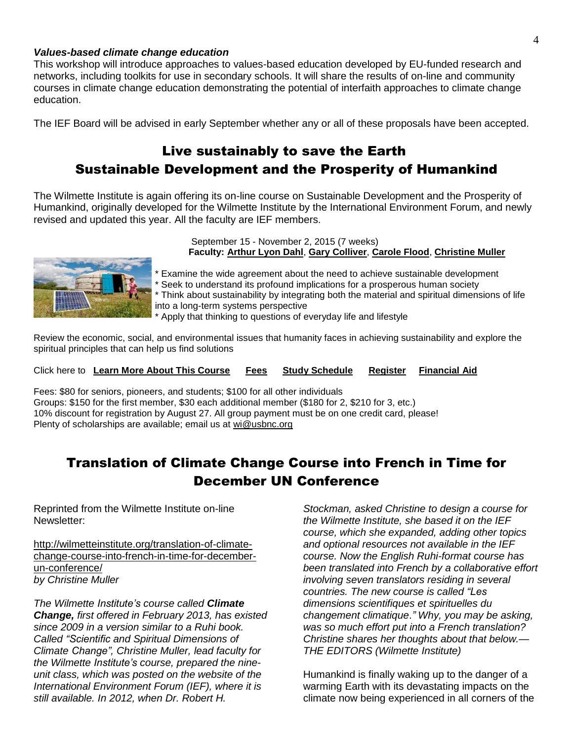#### *Values-based climate change education*

This workshop will introduce approaches to values-based education developed by EU-funded research and networks, including toolkits for use in secondary schools. It will share the results of on-line and community courses in climate change education demonstrating the potential of interfaith approaches to climate change education.

The IEF Board will be advised in early September whether any or all of these proposals have been accepted.

# Live sustainably to save the Earth Sustainable Development and the Prosperity of Humankind

The Wilmette Institute is again offering its on-line course on Sustainable Development and the Prosperity of Humankind, originally developed for the Wilmette Institute by the International Environment Forum, and newly revised and updated this year. All the faculty are IEF members.



September 15 - November 2, 2015 (7 weeks) **Faculty: [Arthur Lyon Dahl](http://r20.rs6.net/tn.jsp?f=0017pr3pZvXQLjENUtcNapWV7DLkLoR4KTQ6HziHdEHQ22HMOEOxjxhjs9_Q0HGvlY_iUPSDZXPRdAZNJOZ1GkYQR7urHZQmEDgb4l9J2wU5YN_M0PBfh61EiPu_wrtTW2l64xEuiyTvBaaTuKicwL4IW8z_fogD96_m6LTB3b3TtQS_ISBCspNEDijCvalpxe5V-3fDFkFCj8=&c=aUFfKl_KtS1zZjVJ1Z5LUo_hdBZl6q-JRNe1vwdBAqs5GDBVUDSfGA==&ch=KEJ8HF42SLv6-ZFsHvI6SgZMpZZ8AjD5V1Pnab0686B1OsxaNVobBw==)**, **[Gary Colliver](http://r20.rs6.net/tn.jsp?f=0017pr3pZvXQLjENUtcNapWV7DLkLoR4KTQ6HziHdEHQ22HMOEOxjxhjs9_Q0HGvlY_l1aVHXBdjdSXm0CE26i99xJoalxm_5taxnm9xqos9RsS5-nBe-ikNRsIphafxlUABWOQyPrCxU78zzMORHu_7XG6gFMXgacChljCIkDtlPgy1js6OJH41XZFmOnLHyiDQatphZthAWY=&c=aUFfKl_KtS1zZjVJ1Z5LUo_hdBZl6q-JRNe1vwdBAqs5GDBVUDSfGA==&ch=KEJ8HF42SLv6-ZFsHvI6SgZMpZZ8AjD5V1Pnab0686B1OsxaNVobBw==)**, **[Carole Flood](http://r20.rs6.net/tn.jsp?f=0017pr3pZvXQLjENUtcNapWV7DLkLoR4KTQ6HziHdEHQ22HMOEOxjxhjs9_Q0HGvlY_flhRW1mClT1sc6OcmgtqjNG9PDmCTwsqtMp5q4JBYfydOHbwkrQVSj3nqVxEuLcIBUrh03MN579onx9EIvbtSScMFrgJjm8F575VDyrWHa_EbT2TKNpE0g9RsIT-e0F5QF3CKcmbc-E=&c=aUFfKl_KtS1zZjVJ1Z5LUo_hdBZl6q-JRNe1vwdBAqs5GDBVUDSfGA==&ch=KEJ8HF42SLv6-ZFsHvI6SgZMpZZ8AjD5V1Pnab0686B1OsxaNVobBw==)**, **[Christine Muller](http://r20.rs6.net/tn.jsp?f=0017pr3pZvXQLjENUtcNapWV7DLkLoR4KTQ6HziHdEHQ22HMOEOxjxhjs9_Q0HGvlY_C1HrbLGmRc22GOgNaad601kf5SpNucI-t6_OELBjEwXPgVjdCWshz4VV1jbqJvrBBHp8ql05-vulR5resyjo0b2VfOzvxWFTUxkzZPW7DK5yp0yuTYt9ovkfpd3z5-cDqjuPd05k7Jw=&c=aUFfKl_KtS1zZjVJ1Z5LUo_hdBZl6q-JRNe1vwdBAqs5GDBVUDSfGA==&ch=KEJ8HF42SLv6-ZFsHvI6SgZMpZZ8AjD5V1Pnab0686B1OsxaNVobBw==)**

\* Examine the wide agreement about the need to achieve sustainable development

\* Seek to understand its profound implications for a prosperous human society

Think about sustainability by integrating both the material and spiritual dimensions of life into a long-term systems perspective

Apply that thinking to questions of everyday life and lifestyle

Review the economic, social, and environmental issues that humanity faces in achieving sustainability and explore the spiritual principles that can help us find solutions

Click here to **[Learn More About This Course](http://r20.rs6.net/tn.jsp?f=0017pr3pZvXQLjENUtcNapWV7DLkLoR4KTQ6HziHdEHQ22HMOEOxjxhjtZAAsKAOUSp71alyWUaxLFFnZPm24ucf5L7kCWAbl48TcbYf7b53TWVSYeFyNQmKW_Agof14gcpAd2pzUhJ8IiNge1xoskWcodGMNnnQ4i7sUBo2JGL1PwLSGSm5y6d8iwOtgEX8mkHWuwoTJmhp21kWaRmS8rsv3cCg0ptm1664npSx7xEGC08kmKV0KFwws24SFIdgycQz0HFGoCVAkJsXYpmBoGVEXhgpBZtA8_QySZsCth8JESXR99AWwEHoH_eWmCzpXQimyNqo1cWZBA=&c=aUFfKl_KtS1zZjVJ1Z5LUo_hdBZl6q-JRNe1vwdBAqs5GDBVUDSfGA==&ch=KEJ8HF42SLv6-ZFsHvI6SgZMpZZ8AjD5V1Pnab0686B1OsxaNVobBw==) [Fees](http://r20.rs6.net/tn.jsp?f=0017pr3pZvXQLjENUtcNapWV7DLkLoR4KTQ6HziHdEHQ22HMOEOxjxhjsPligzPAIS6UEfXEHyKP_SJ8TPayf0aVI3VYnQ9BhiBjqNRWmdHKR3ty_O6Mb46S60PTN5iq5AiLrEUKchxQ0BiEHxLCpUaCANUptJasM0M6AAO-BZvvKHgq64xEJaxgXOG6w09mn5i9x429pyG42p51_VxAs7NFp-WKQdYjByHadeEj9XkDQ2bdQPs62aMkWQJWK798J_S_j6iKoygizxleCZIWIrCmijqRsykWSx2snDN7AsdpZ_aRlSt3IekHe0D7fdEDLyy&c=aUFfKl_KtS1zZjVJ1Z5LUo_hdBZl6q-JRNe1vwdBAqs5GDBVUDSfGA==&ch=KEJ8HF42SLv6-ZFsHvI6SgZMpZZ8AjD5V1Pnab0686B1OsxaNVobBw==) [Study Schedule](http://r20.rs6.net/tn.jsp?f=0017pr3pZvXQLjENUtcNapWV7DLkLoR4KTQ6HziHdEHQ22HMOEOxjxhjsPligzPAIS6Tqs7sfECxyVDX7q-uOUyBMPAewGNQDIXCqPJqEwmQpjlwUYSy9k73fbZ1loE2Oycp6bvFSx0gLqPs3eLYmB3NoyUTyX6xKQiwKeV2e7Wb_E0qx-brLEfjitL_TidUqxEAFFS-h90oPfqMHwESmUQAsyWsRbUYAMMQhZa9JX_MFqdn9GiHwk-CL0NBKfbedRS2kWEPkIqh7raSmQhskgbeZtEhQSysl_hdt5Wk4fmnYQe2s5ylPc2OQzBnj6-dyBg&c=aUFfKl_KtS1zZjVJ1Z5LUo_hdBZl6q-JRNe1vwdBAqs5GDBVUDSfGA==&ch=KEJ8HF42SLv6-ZFsHvI6SgZMpZZ8AjD5V1Pnab0686B1OsxaNVobBw==) [Register](http://r20.rs6.net/tn.jsp?f=0017pr3pZvXQLjENUtcNapWV7DLkLoR4KTQ6HziHdEHQ22HMOEOxjxhjsPligzPAIS6AfRXMiqFZo5xoMwL0W_VzQYSXHWWjO78av7ed27Dw-m1_6jm-Z45_5M6Vf7Z4vVK0yP4yYMVhac2HpPFHnEK83Dcviq6Y0jSYryRjk9rvaWOjy7IPKxWdAeDoQA1wUWicj7mEcVdmqAiRRPLKHxI36cnkLhrsnn1imo2BYFUC_SutVM1Ejj5BxkxtfkUug46TqR_CqeCz8lE5zxR1I-3LoiPOtf-LOCYjA-CmrrgGk-xqP7gZ5I7SO8DVsQAUWsuzwWUCwfJa1U=&c=aUFfKl_KtS1zZjVJ1Z5LUo_hdBZl6q-JRNe1vwdBAqs5GDBVUDSfGA==&ch=KEJ8HF42SLv6-ZFsHvI6SgZMpZZ8AjD5V1Pnab0686B1OsxaNVobBw==) [Financial Aid](http://r20.rs6.net/tn.jsp?f=0017pr3pZvXQLjENUtcNapWV7DLkLoR4KTQ6HziHdEHQ22HMOEOxjxhjjdClCC-tUxVaiQl62FlcKmvNxX4xQQFgAry313OJLTjtvfy7SH0Px2BZl0mijEJMtegLvNyJyq50TCOaAZ3KFu4JXIw_UVZPZkX21rkt-oWCQhJedkUN1_ob3QUwRvT7wPaNtz68upnQZTEylOkDFbu4HKVjYHBkTGVLF82sjaQSHtfEoAWF2Y=&c=aUFfKl_KtS1zZjVJ1Z5LUo_hdBZl6q-JRNe1vwdBAqs5GDBVUDSfGA==&ch=KEJ8HF42SLv6-ZFsHvI6SgZMpZZ8AjD5V1Pnab0686B1OsxaNVobBw==)**

Fees: \$80 for seniors, pioneers, and students; \$100 for all other individuals Groups: \$150 for the first member, \$30 each additional member (\$180 for 2, \$210 for 3, etc.) 10% discount for registration by August 27. All group payment must be on one credit card, please! Plenty of scholarships are available; email us at [wi@usbnc.org](mailto:wi@usbnc.org)

# Translation of Climate Change Course into French in Time for December UN Conference

Reprinted from the Wilmette Institute on-line Newsletter:

[http://wilmetteinstitute.org/translation-of-climate](http://wilmetteinstitute.org/translation-of-climate-change-course-into-french-in-time-for-december-un-conference/)[change-course-into-french-in-time-for-december](http://wilmetteinstitute.org/translation-of-climate-change-course-into-french-in-time-for-december-un-conference/)[un-conference/](http://wilmetteinstitute.org/translation-of-climate-change-course-into-french-in-time-for-december-un-conference/) *by Christine Muller*

*The Wilmette Institute's course called Climate Change, first offered in February 2013, has existed since 2009 in a version similar to a Ruhi book. Called "Scientific and Spiritual [Dimensions](http://www.iefworld.org/ssdcc0.html) of Climate [Change",](http://www.iefworld.org/ssdcc0.html) Christine Muller, lead faculty for the Wilmette Institute's course, prepared the nineunit class, which was posted on the website of the International [Environment](http://www.iefworld.org/) Forum (IEF), where it is still available. In 2012, when Dr. Robert H.*

*Stockman, asked Christine to design a course for the Wilmette Institute, she based it on the IEF course, which she expanded, adding other topics and optional resources not available in the IEF course. Now the English Ruhi-format course has been translated into French by a collaborative effort involving seven translators residing in several countries. The new course is called ["Les](http://iefworld.org/ccFr0) dimensions [scientifiques](http://iefworld.org/ccFr0) et spirituelles du [changement](http://iefworld.org/ccFr0) climatique*.*" Why, you may be asking, was so much effort put into a French translation? Christine shares her thoughts about that below.— THE EDITORS (Wilmette Institute)*

Humankind is finally waking up to the danger of a warming Earth with its devastating impacts on the climate now being experienced in all corners of the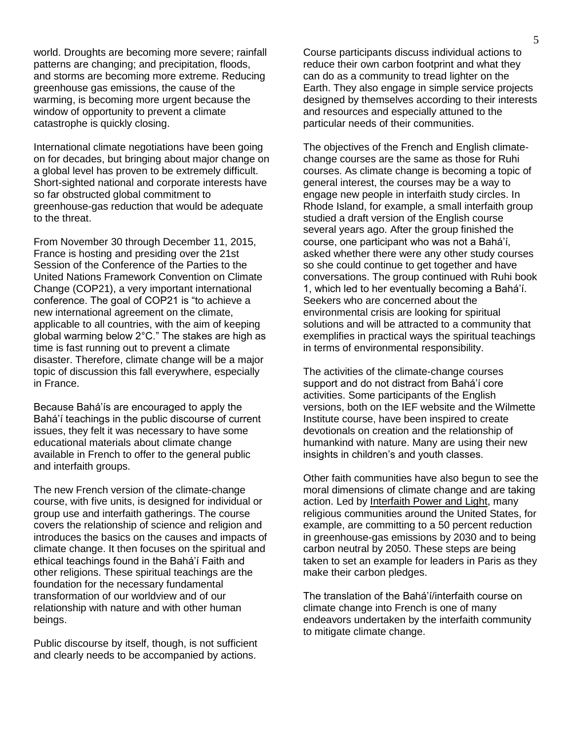world. Droughts are becoming more severe; rainfall patterns are changing; and precipitation, floods, and storms are becoming more extreme. Reducing greenhouse gas emissions, the cause of the warming, is becoming more urgent because the window of opportunity to prevent a climate catastrophe is quickly closing.

International climate negotiations have been going on for decades, but bringing about major change on a global level has proven to be extremely difficult. Short-sighted national and corporate interests have so far obstructed global commitment to greenhouse-gas reduction that would be adequate to the threat.

From November 30 through December 11, 2015, France is hosting and presiding over the 21st Session of the Conference of the Parties to the United Nations Framework Convention on Climate Change (COP21), a very important international conference. The goal of COP21 is "to achieve a new international agreement on the climate, applicable to all countries, with the aim of keeping global warming below 2°C." The stakes are high as time is fast running out to prevent a climate disaster. Therefore, climate change will be a major topic of discussion this fall everywhere, especially in France.

Because Bahá'ís are encouraged to apply the Bahá'í teachings in the public discourse of current issues, they felt it was necessary to have some educational materials about climate change available in French to offer to the general public and interfaith groups.

The new French version of the climate-change course, with five units, is designed for individual or group use and interfaith gatherings. The course covers the relationship of science and religion and introduces the basics on the causes and impacts of climate change. It then focuses on the spiritual and ethical teachings found in the Bahá'í Faith and other religions. These spiritual teachings are the foundation for the necessary fundamental transformation of our worldview and of our relationship with nature and with other human beings.

Public discourse by itself, though, is not sufficient and clearly needs to be accompanied by actions.

Course participants discuss individual actions to reduce their own carbon footprint and what they can do as a community to tread lighter on the Earth. They also engage in simple service projects designed by themselves according to their interests and resources and especially attuned to the particular needs of their communities.

The objectives of the French and English climatechange courses are the same as those for Ruhi courses. As climate change is becoming a topic of general interest, the courses may be a way to engage new people in interfaith study circles. In Rhode Island, for example, a small interfaith group studied a draft version of the English course several years ago. After the group finished the course, one participant who was not a Bahá'í, asked whether there were any other study courses so she could continue to get together and have conversations. The group continued with Ruhi book 1, which led to her eventually becoming a Bahá'í. Seekers who are concerned about the environmental crisis are looking for spiritual solutions and will be attracted to a community that exemplifies in practical ways the spiritual teachings in terms of environmental responsibility.

The activities of the climate-change courses support and do not distract from Bahá'í core activities. Some participants of the English versions, both on the IEF website and the Wilmette Institute course, have been inspired to create devotionals on creation and the relationship of humankind with nature. Many are using their new insights in children's and youth classes.

Other faith communities have also begun to see the moral dimensions of climate change and are taking action. Led by [Interfaith](http://www.interfaithpowerandlight.org/) Power and Light, many religious communities around the United States, for example, are committing to a 50 percent reduction in greenhouse-gas emissions by 2030 and to being carbon neutral by 2050. These steps are being taken to set an example for leaders in Paris as they make their carbon pledges.

The translation of the Bahá'í/interfaith course on climate change into French is one of many endeavors undertaken by the interfaith community to mitigate climate change.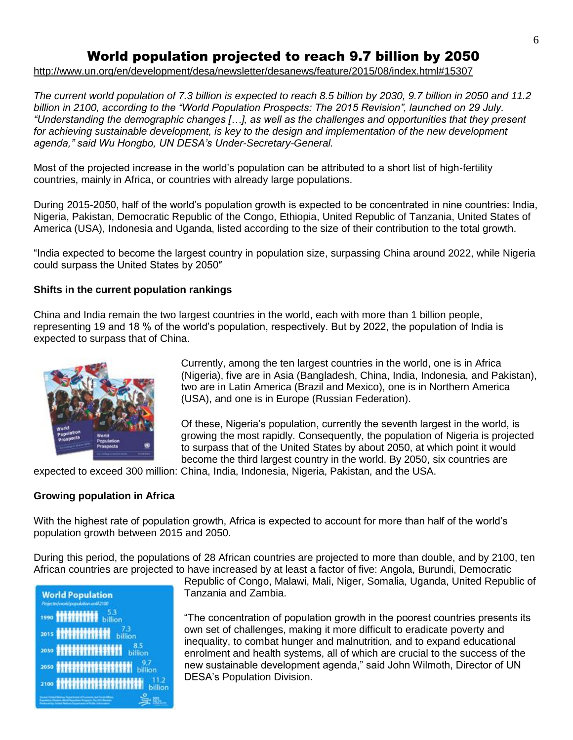# World population projected to reach 9.7 billion by 2050

<http://www.un.org/en/development/desa/newsletter/desanews/feature/2015/08/index.html#15307>

*The current world population of 7.3 billion is expected to reach 8.5 billion by 2030, 9.7 billion in 2050 and 11.2 billion in 2100, according to the "World Population Prospects: The 2015 Revision", launched on 29 July. "Understanding the demographic changes […], as well as the challenges and opportunities that they present*  for achieving sustainable development, is key to the design and implementation of the new development *agenda," said Wu Hongbo, UN DESA's Under-Secretary-General.*

Most of the projected increase in the world's population can be attributed to a short list of high-fertility countries, mainly in Africa, or countries with already large populations.

During 2015-2050, half of the world's population growth is expected to be concentrated in nine countries: India, Nigeria, Pakistan, Democratic Republic of the Congo, Ethiopia, United Republic of Tanzania, United States of America (USA), Indonesia and Uganda, listed according to the size of their contribution to the total growth.

"India expected to become the largest country in population size, surpassing China around 2022, while Nigeria could surpass the United States by 2050″

#### **Shifts in the current population rankings**

China and India remain the two largest countries in the world, each with more than 1 billion people, representing 19 and 18 % of the world's population, respectively. But by 2022, the population of India is expected to surpass that of China.



Currently, among the ten largest countries in the world, one is in Africa (Nigeria), five are in Asia (Bangladesh, China, India, Indonesia, and Pakistan), two are in Latin America (Brazil and Mexico), one is in Northern America (USA), and one is in Europe (Russian Federation).

Of these, Nigeria's population, currently the seventh largest in the world, is growing the most rapidly. Consequently, the population of Nigeria is projected to surpass that of the United States by about 2050, at which point it would become the third largest country in the world. By 2050, six countries are

expected to exceed 300 million: China, India, Indonesia, Nigeria, Pakistan, and the USA.

#### **Growing population in Africa**

With the highest rate of population growth, Africa is expected to account for more than half of the world's population growth between 2015 and 2050.

During this period, the populations of 28 African countries are projected to more than double, and by 2100, ten African countries are projected to have increased by at least a factor of five: Angola, Burundi, Democratic



Republic of Congo, Malawi, Mali, Niger, Somalia, Uganda, United Republic of Tanzania and Zambia.

"The concentration of population growth in the poorest countries presents its own set of challenges, making it more difficult to eradicate poverty and inequality, to combat hunger and malnutrition, and to expand educational enrolment and health systems, all of which are crucial to the success of the new sustainable development agenda," said John Wilmoth, Director of UN DESA's Population Division.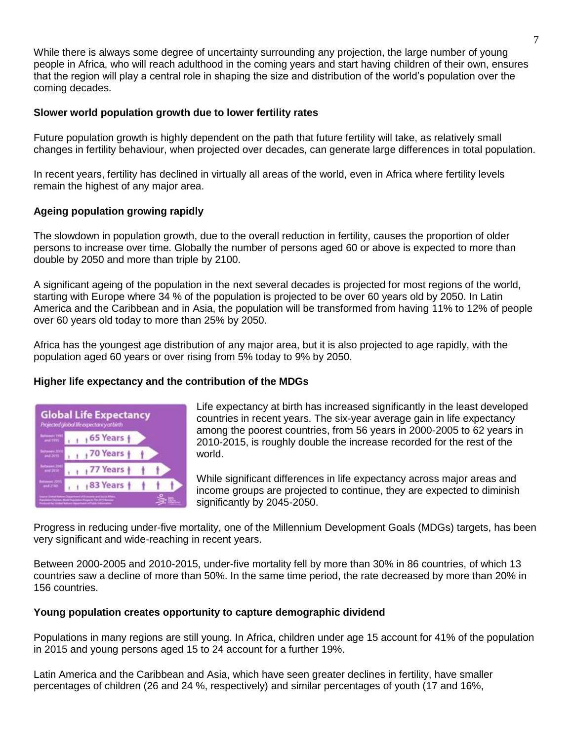While there is always some degree of uncertainty surrounding any projection, the large number of young people in Africa, who will reach adulthood in the coming years and start having children of their own, ensures that the region will play a central role in shaping the size and distribution of the world's population over the coming decades.

### **Slower world population growth due to lower fertility rates**

Future population growth is highly dependent on the path that future fertility will take, as relatively small changes in fertility behaviour, when projected over decades, can generate large differences in total population.

In recent years, fertility has declined in virtually all areas of the world, even in Africa where fertility levels remain the highest of any major area.

## **Ageing population growing rapidly**

The slowdown in population growth, due to the overall reduction in fertility, causes the proportion of older persons to increase over time. Globally the number of persons aged 60 or above is expected to more than double by 2050 and more than triple by 2100.

A significant ageing of the population in the next several decades is projected for most regions of the world, starting with Europe where 34 % of the population is projected to be over 60 years old by 2050. In Latin America and the Caribbean and in Asia, the population will be transformed from having 11% to 12% of people over 60 years old today to more than 25% by 2050.

Africa has the youngest age distribution of any major area, but it is also projected to age rapidly, with the population aged 60 years or over rising from 5% today to 9% by 2050.

## **Higher life expectancy and the contribution of the MDGs**



Life expectancy at birth has increased significantly in the least developed countries in recent years. The six-year average gain in life expectancy among the poorest countries, from 56 years in 2000-2005 to 62 years in 2010-2015, is roughly double the increase recorded for the rest of the world.

While significant differences in life expectancy across major areas and income groups are projected to continue, they are expected to diminish significantly by 2045-2050.

Progress in reducing under-five mortality, one of the Millennium Development Goals (MDGs) targets, has been very significant and wide-reaching in recent years.

Between 2000-2005 and 2010-2015, under-five mortality fell by more than 30% in 86 countries, of which 13 countries saw a decline of more than 50%. In the same time period, the rate decreased by more than 20% in 156 countries.

#### **Young population creates opportunity to capture demographic dividend**

Populations in many regions are still young. In Africa, children under age 15 account for 41% of the population in 2015 and young persons aged 15 to 24 account for a further 19%.

Latin America and the Caribbean and Asia, which have seen greater declines in fertility, have smaller percentages of children (26 and 24 %, respectively) and similar percentages of youth (17 and 16%,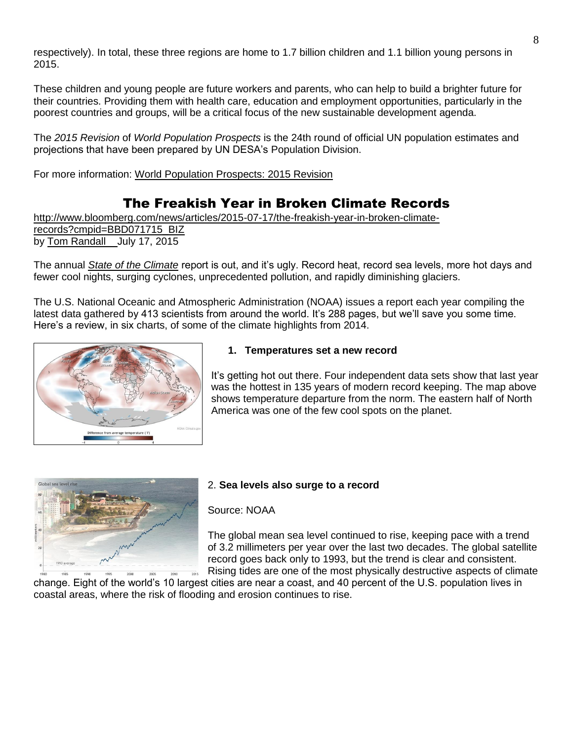respectively). In total, these three regions are home to 1.7 billion children and 1.1 billion young persons in 2015.

These children and young people are future workers and parents, who can help to build a brighter future for their countries. Providing them with health care, education and employment opportunities, particularly in the poorest countries and groups, will be a critical focus of the new sustainable development agenda.

The *2015 Revision* of *World Population Prospects* is the 24th round of official UN population estimates and projections that have been prepared by UN DESA's Population Division.

For more information: [World Population Prospects: 2015 Revision](http://esa.un.org/unpd/wpp)

# The Freakish Year in Broken Climate Records

[http://www.bloomberg.com/news/articles/2015-07-17/the-freakish-year-in-broken-climate](http://www.bloomberg.com/news/articles/2015-07-17/the-freakish-year-in-broken-climate-records?cmpid=BBD071715_BIZ)[records?cmpid=BBD071715\\_BIZ](http://www.bloomberg.com/news/articles/2015-07-17/the-freakish-year-in-broken-climate-records?cmpid=BBD071715_BIZ) by [Tom Randall](http://www.bloomberg.com/authors/AG-V6rP5f0g/tom-randall) July 17, 2015

The annual *[State of the Climate](http://www.ncdc.noaa.gov/news/state-of-the-climate-2014)* report is out, and it's ugly. Record heat, record sea levels, more hot days and fewer cool nights, surging cyclones, unprecedented pollution, and rapidly diminishing glaciers.

The U.S. National Oceanic and Atmospheric Administration (NOAA) issues a report each year compiling the latest data gathered by 413 scientists from around the world. It's 288 pages, but we'll save you some time. Here's a review, in six charts, of some of the climate highlights from 2014.



## **1. Temperatures set a new record**

It's getting hot out there. Four independent data sets show that last year was the hottest in 135 years of modern record keeping. The map above shows temperature departure from the norm. The eastern half of North America was one of the few cool spots on the planet.



## 2. **Sea levels also surge to a record**

Source: NOAA

The global mean sea level continued to rise, keeping pace with a trend of 3.2 millimeters per year over the last two decades. The global satellite record goes back only to 1993, but the trend is clear and consistent. Rising tides are one of the most physically destructive aspects of climate

change. Eight of the world's 10 largest cities are near a coast, and 40 percent of the U.S. population lives in coastal areas, where the risk of flooding and erosion continues to rise.